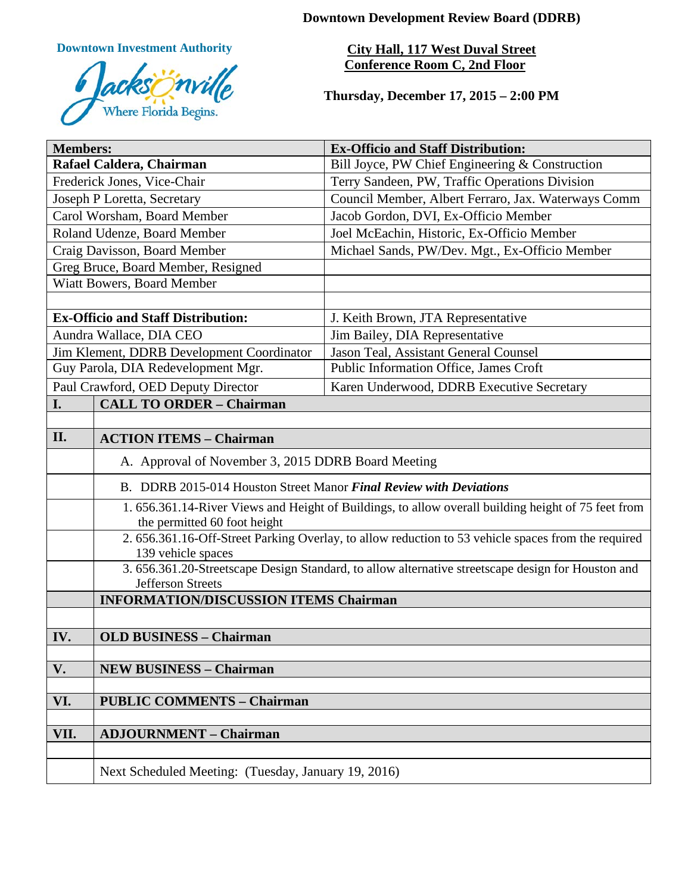**Downtown Development Review Board (DDRB)**

**Downtown Investment Authority**



**City Hall, 117 West Duval Street Conference Room C, 2nd Floor** 

**Thursday, December 17, 2015 – 2:00 PM**

| <b>Members:</b>                           |                                                                                                                                     | <b>Ex-Officio and Staff Distribution:</b>           |  |
|-------------------------------------------|-------------------------------------------------------------------------------------------------------------------------------------|-----------------------------------------------------|--|
| Rafael Caldera, Chairman                  |                                                                                                                                     | Bill Joyce, PW Chief Engineering & Construction     |  |
| Frederick Jones, Vice-Chair               |                                                                                                                                     | Terry Sandeen, PW, Traffic Operations Division      |  |
| Joseph P Loretta, Secretary               |                                                                                                                                     | Council Member, Albert Ferraro, Jax. Waterways Comm |  |
| Carol Worsham, Board Member               |                                                                                                                                     | Jacob Gordon, DVI, Ex-Officio Member                |  |
| Roland Udenze, Board Member               |                                                                                                                                     | Joel McEachin, Historic, Ex-Officio Member          |  |
| Craig Davisson, Board Member              |                                                                                                                                     | Michael Sands, PW/Dev. Mgt., Ex-Officio Member      |  |
| Greg Bruce, Board Member, Resigned        |                                                                                                                                     |                                                     |  |
| Wiatt Bowers, Board Member                |                                                                                                                                     |                                                     |  |
|                                           |                                                                                                                                     |                                                     |  |
| <b>Ex-Officio and Staff Distribution:</b> |                                                                                                                                     | J. Keith Brown, JTA Representative                  |  |
| Aundra Wallace, DIA CEO                   |                                                                                                                                     | Jim Bailey, DIA Representative                      |  |
| Jim Klement, DDRB Development Coordinator |                                                                                                                                     | Jason Teal, Assistant General Counsel               |  |
| Guy Parola, DIA Redevelopment Mgr.        |                                                                                                                                     | Public Information Office, James Croft              |  |
| Paul Crawford, OED Deputy Director        |                                                                                                                                     | Karen Underwood, DDRB Executive Secretary           |  |
| I.                                        | <b>CALL TO ORDER - Chairman</b>                                                                                                     |                                                     |  |
|                                           |                                                                                                                                     |                                                     |  |
| II.                                       | <b>ACTION ITEMS - Chairman</b>                                                                                                      |                                                     |  |
|                                           | A. Approval of November 3, 2015 DDRB Board Meeting                                                                                  |                                                     |  |
|                                           | B. DDRB 2015-014 Houston Street Manor Final Review with Deviations                                                                  |                                                     |  |
|                                           | 1. 656.361.14-River Views and Height of Buildings, to allow overall building height of 75 feet from<br>the permitted 60 foot height |                                                     |  |
|                                           | 2. 656.361.16-Off-Street Parking Overlay, to allow reduction to 53 vehicle spaces from the required                                 |                                                     |  |
|                                           | 139 vehicle spaces<br>3. 656.361.20-Streetscape Design Standard, to allow alternative streetscape design for Houston and            |                                                     |  |
|                                           | <b>Jefferson Streets</b>                                                                                                            |                                                     |  |
|                                           | <b>INFORMATION/DISCUSSION ITEMS Chairman</b>                                                                                        |                                                     |  |
|                                           |                                                                                                                                     |                                                     |  |
| IV.                                       | <b>OLD BUSINESS - Chairman</b>                                                                                                      |                                                     |  |
|                                           |                                                                                                                                     |                                                     |  |
| V.                                        | <b>NEW BUSINESS - Chairman</b>                                                                                                      |                                                     |  |
|                                           |                                                                                                                                     |                                                     |  |
| VI.                                       | <b>PUBLIC COMMENTS - Chairman</b>                                                                                                   |                                                     |  |
|                                           |                                                                                                                                     |                                                     |  |
| VII.                                      | <b>ADJOURNMENT - Chairman</b>                                                                                                       |                                                     |  |
|                                           |                                                                                                                                     |                                                     |  |
|                                           | Next Scheduled Meeting: (Tuesday, January 19, 2016)                                                                                 |                                                     |  |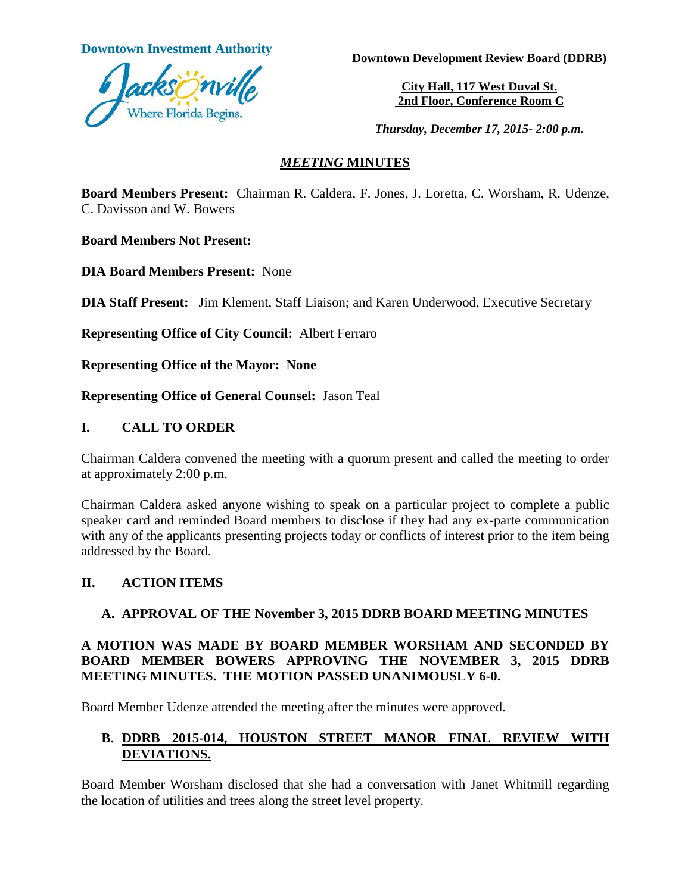

**Downtown Investment Authority <b>Downtown** Development Review Board (DDRB)

**City Hall, 117 West Duval St. 2nd Floor, Conference Room C**

*Thursday, December 17, 2015- 2:00 p.m.*

#### *MEETING* **MINUTES**

**Board Members Present:** Chairman R. Caldera, F. Jones, J. Loretta, C. Worsham, R. Udenze, C. Davisson and W. Bowers

**Board Members Not Present:** 

**DIA Board Members Present:** None

**DIA Staff Present:** Jim Klement, Staff Liaison; and Karen Underwood, Executive Secretary

**Representing Office of City Council:** Albert Ferraro

**Representing Office of the Mayor: None**

**Representing Office of General Counsel:** Jason Teal

## **I. CALL TO ORDER**

Chairman Caldera convened the meeting with a quorum present and called the meeting to order at approximately 2:00 p.m.

Chairman Caldera asked anyone wishing to speak on a particular project to complete a public speaker card and reminded Board members to disclose if they had any ex-parte communication with any of the applicants presenting projects today or conflicts of interest prior to the item being addressed by the Board.

## **II. ACTION ITEMS**

## **A. APPROVAL OF THE November 3, 2015 DDRB BOARD MEETING MINUTES**

## **A MOTION WAS MADE BY BOARD MEMBER WORSHAM AND SECONDED BY BOARD MEMBER BOWERS APPROVING THE NOVEMBER 3, 2015 DDRB MEETING MINUTES. THE MOTION PASSED UNANIMOUSLY 6-0.**

Board Member Udenze attended the meeting after the minutes were approved.

# **B. DDRB 2015-014, HOUSTON STREET MANOR FINAL REVIEW WITH DEVIATIONS.**

Board Member Worsham disclosed that she had a conversation with Janet Whitmill regarding the location of utilities and trees along the street level property.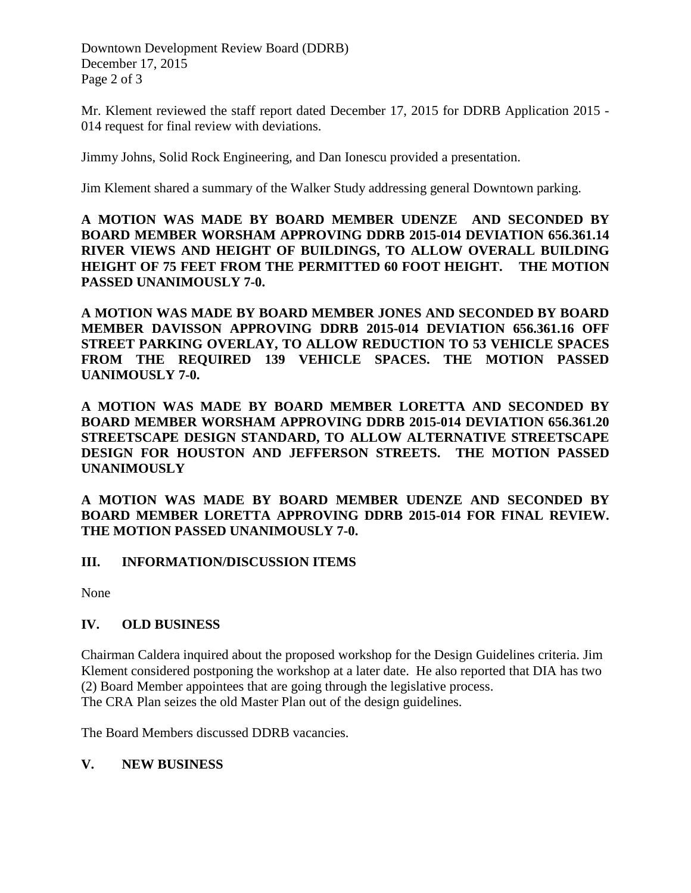Downtown Development Review Board (DDRB) December 17, 2015 Page 2 of 3

Mr. Klement reviewed the staff report dated December 17, 2015 for DDRB Application 2015 - 014 request for final review with deviations.

Jimmy Johns, Solid Rock Engineering, and Dan Ionescu provided a presentation.

Jim Klement shared a summary of the Walker Study addressing general Downtown parking.

**A MOTION WAS MADE BY BOARD MEMBER UDENZE AND SECONDED BY BOARD MEMBER WORSHAM APPROVING DDRB 2015-014 DEVIATION 656.361.14 RIVER VIEWS AND HEIGHT OF BUILDINGS, TO ALLOW OVERALL BUILDING HEIGHT OF 75 FEET FROM THE PERMITTED 60 FOOT HEIGHT. THE MOTION PASSED UNANIMOUSLY 7-0.**

**A MOTION WAS MADE BY BOARD MEMBER JONES AND SECONDED BY BOARD MEMBER DAVISSON APPROVING DDRB 2015-014 DEVIATION 656.361.16 OFF STREET PARKING OVERLAY, TO ALLOW REDUCTION TO 53 VEHICLE SPACES FROM THE REQUIRED 139 VEHICLE SPACES. THE MOTION PASSED UANIMOUSLY 7-0.**

**A MOTION WAS MADE BY BOARD MEMBER LORETTA AND SECONDED BY BOARD MEMBER WORSHAM APPROVING DDRB 2015-014 DEVIATION 656.361.20 STREETSCAPE DESIGN STANDARD, TO ALLOW ALTERNATIVE STREETSCAPE DESIGN FOR HOUSTON AND JEFFERSON STREETS. THE MOTION PASSED UNANIMOUSLY** 

**A MOTION WAS MADE BY BOARD MEMBER UDENZE AND SECONDED BY BOARD MEMBER LORETTA APPROVING DDRB 2015-014 FOR FINAL REVIEW. THE MOTION PASSED UNANIMOUSLY 7-0.** 

## **III. INFORMATION/DISCUSSION ITEMS**

None

## **IV. OLD BUSINESS**

Chairman Caldera inquired about the proposed workshop for the Design Guidelines criteria. Jim Klement considered postponing the workshop at a later date. He also reported that DIA has two (2) Board Member appointees that are going through the legislative process. The CRA Plan seizes the old Master Plan out of the design guidelines.

The Board Members discussed DDRB vacancies.

## **V. NEW BUSINESS**